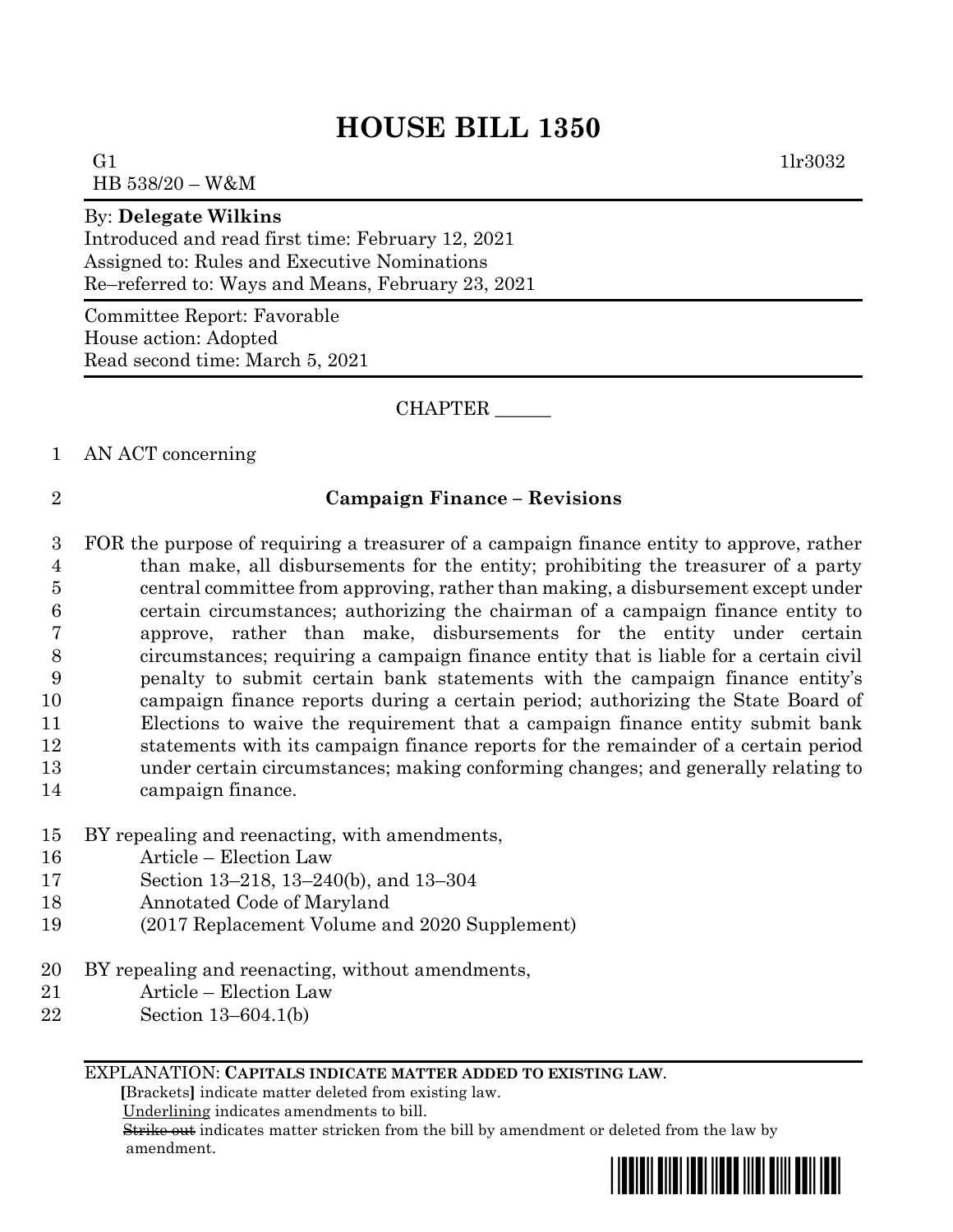## **HOUSE BILL 1350**

G1  $1\text{lr}3032$ HB 538/20 – W&M

By: **Delegate Wilkins**

Introduced and read first time: February 12, 2021 Assigned to: Rules and Executive Nominations Re–referred to: Ways and Means, February 23, 2021

Committee Report: Favorable House action: Adopted Read second time: March 5, 2021

CHAPTER \_\_\_\_\_\_

- 1 AN ACT concerning
- 

## 2 **Campaign Finance – Revisions**

 FOR the purpose of requiring a treasurer of a campaign finance entity to approve, rather than make, all disbursements for the entity; prohibiting the treasurer of a party central committee from approving, rather than making, a disbursement except under certain circumstances; authorizing the chairman of a campaign finance entity to approve, rather than make, disbursements for the entity under certain circumstances; requiring a campaign finance entity that is liable for a certain civil penalty to submit certain bank statements with the campaign finance entity's campaign finance reports during a certain period; authorizing the State Board of Elections to waive the requirement that a campaign finance entity submit bank statements with its campaign finance reports for the remainder of a certain period under certain circumstances; making conforming changes; and generally relating to campaign finance.

- 
- 15 BY repealing and reenacting, with amendments,
- 16 Article Election Law
- 17 Section 13–218, 13–240(b), and 13–304
- 18 Annotated Code of Maryland
- 19 (2017 Replacement Volume and 2020 Supplement)
- 20 BY repealing and reenacting, without amendments,
- 21 Article Election Law
- 22 Section 13–604.1(b)

EXPLANATION: **CAPITALS INDICATE MATTER ADDED TO EXISTING LAW**.

 **[**Brackets**]** indicate matter deleted from existing law.

Underlining indicates amendments to bill.

Strike out indicates matter stricken from the bill by amendment or deleted from the law by amendment.

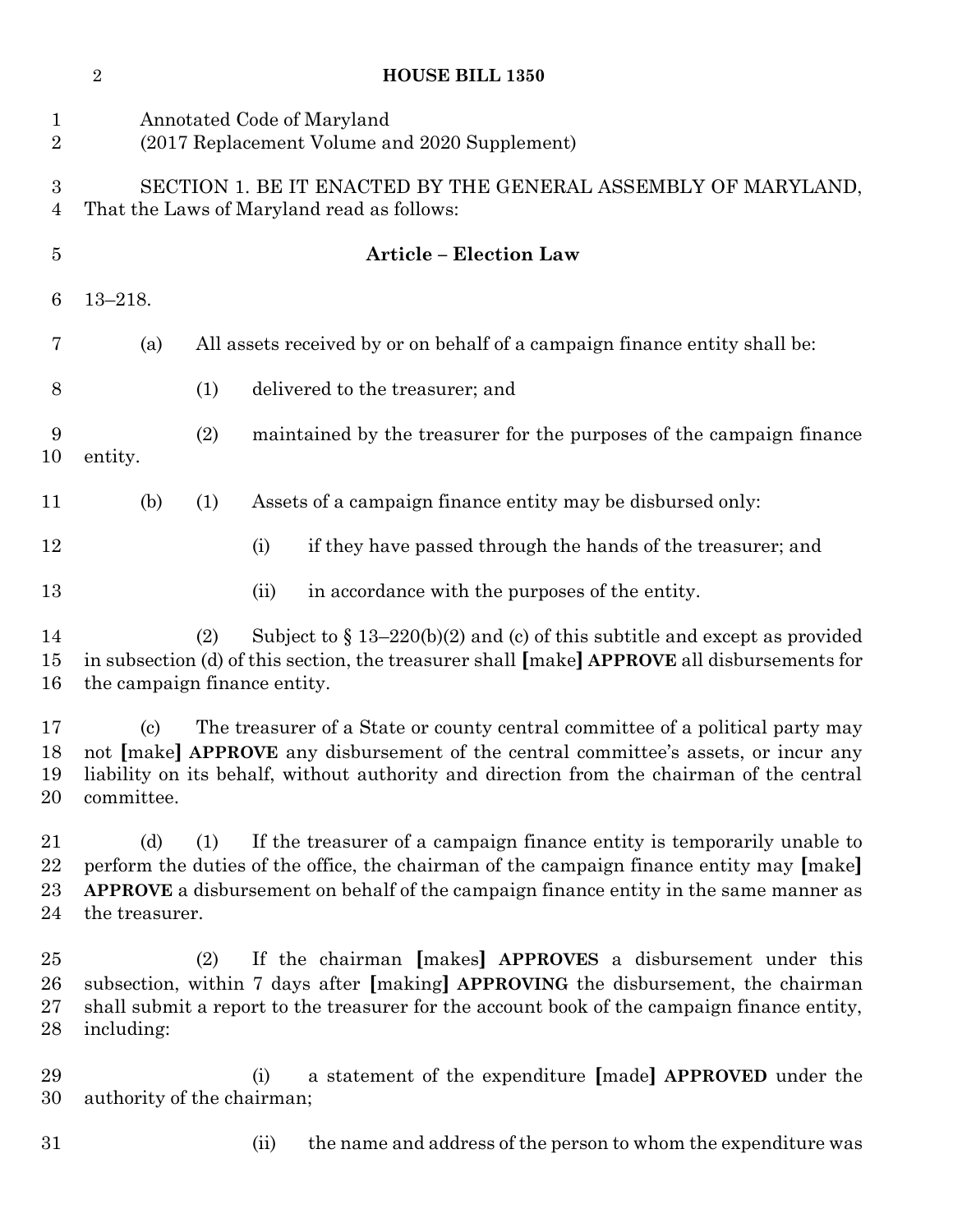|                                    | $\sqrt{2}$                                                                                                                                                                                                                                                                                                    |                                                                            |      | <b>HOUSE BILL 1350</b>                                                                                                                                                                                                                         |  |  |  |  |
|------------------------------------|---------------------------------------------------------------------------------------------------------------------------------------------------------------------------------------------------------------------------------------------------------------------------------------------------------------|----------------------------------------------------------------------------|------|------------------------------------------------------------------------------------------------------------------------------------------------------------------------------------------------------------------------------------------------|--|--|--|--|
| $\mathbf{1}$<br>$\overline{2}$     | Annotated Code of Maryland<br>(2017 Replacement Volume and 2020 Supplement)                                                                                                                                                                                                                                   |                                                                            |      |                                                                                                                                                                                                                                                |  |  |  |  |
| $\boldsymbol{3}$<br>$\overline{4}$ | SECTION 1. BE IT ENACTED BY THE GENERAL ASSEMBLY OF MARYLAND,<br>That the Laws of Maryland read as follows:                                                                                                                                                                                                   |                                                                            |      |                                                                                                                                                                                                                                                |  |  |  |  |
| $\overline{5}$                     |                                                                                                                                                                                                                                                                                                               |                                                                            |      | <b>Article - Election Law</b>                                                                                                                                                                                                                  |  |  |  |  |
| $6\phantom{.}6$                    | $13 - 218.$                                                                                                                                                                                                                                                                                                   |                                                                            |      |                                                                                                                                                                                                                                                |  |  |  |  |
| 7                                  | (a)                                                                                                                                                                                                                                                                                                           | All assets received by or on behalf of a campaign finance entity shall be: |      |                                                                                                                                                                                                                                                |  |  |  |  |
| 8                                  |                                                                                                                                                                                                                                                                                                               | (1)                                                                        |      | delivered to the treasurer; and                                                                                                                                                                                                                |  |  |  |  |
| 9<br>10                            | entity.                                                                                                                                                                                                                                                                                                       | (2)                                                                        |      | maintained by the treasurer for the purposes of the campaign finance                                                                                                                                                                           |  |  |  |  |
| 11                                 | (b)                                                                                                                                                                                                                                                                                                           | (1)                                                                        |      | Assets of a campaign finance entity may be disbursed only:                                                                                                                                                                                     |  |  |  |  |
| 12                                 |                                                                                                                                                                                                                                                                                                               |                                                                            | (i)  | if they have passed through the hands of the treasurer; and                                                                                                                                                                                    |  |  |  |  |
| 13                                 |                                                                                                                                                                                                                                                                                                               |                                                                            | (ii) | in accordance with the purposes of the entity.                                                                                                                                                                                                 |  |  |  |  |
| 14<br>15<br>16                     | the campaign finance entity.                                                                                                                                                                                                                                                                                  | (2)                                                                        |      | Subject to $\S 13-220(b)(2)$ and (c) of this subtitle and except as provided<br>in subsection (d) of this section, the treasurer shall [make] APPROVE all disbursements for                                                                    |  |  |  |  |
| 17<br>18<br>19<br>20               | The treasurer of a State or county central committee of a political party may<br>$\left( \mathrm{c}\right)$<br>not [make] APPROVE any disbursement of the central committee's assets, or incur any<br>liability on its behalf, without authority and direction from the chairman of the central<br>committee. |                                                                            |      |                                                                                                                                                                                                                                                |  |  |  |  |
| 21<br>22<br>23<br>24               | If the treasurer of a campaign finance entity is temporarily unable to<br>(d)<br>(1)<br>perform the duties of the office, the chairman of the campaign finance entity may [make]<br>APPROVE a disbursement on behalf of the campaign finance entity in the same manner as<br>the treasurer.                   |                                                                            |      |                                                                                                                                                                                                                                                |  |  |  |  |
| 25<br>26<br>27<br>28               | including:                                                                                                                                                                                                                                                                                                    | (2)                                                                        |      | If the chairman [makes] APPROVES a disbursement under this<br>subsection, within 7 days after [making] APPROVING the disbursement, the chairman<br>shall submit a report to the treasurer for the account book of the campaign finance entity, |  |  |  |  |
| 29<br>30                           | authority of the chairman;                                                                                                                                                                                                                                                                                    |                                                                            | (i)  | a statement of the expenditure [made] APPROVED under the                                                                                                                                                                                       |  |  |  |  |
| 31                                 |                                                                                                                                                                                                                                                                                                               |                                                                            | (ii) | the name and address of the person to whom the expenditure was                                                                                                                                                                                 |  |  |  |  |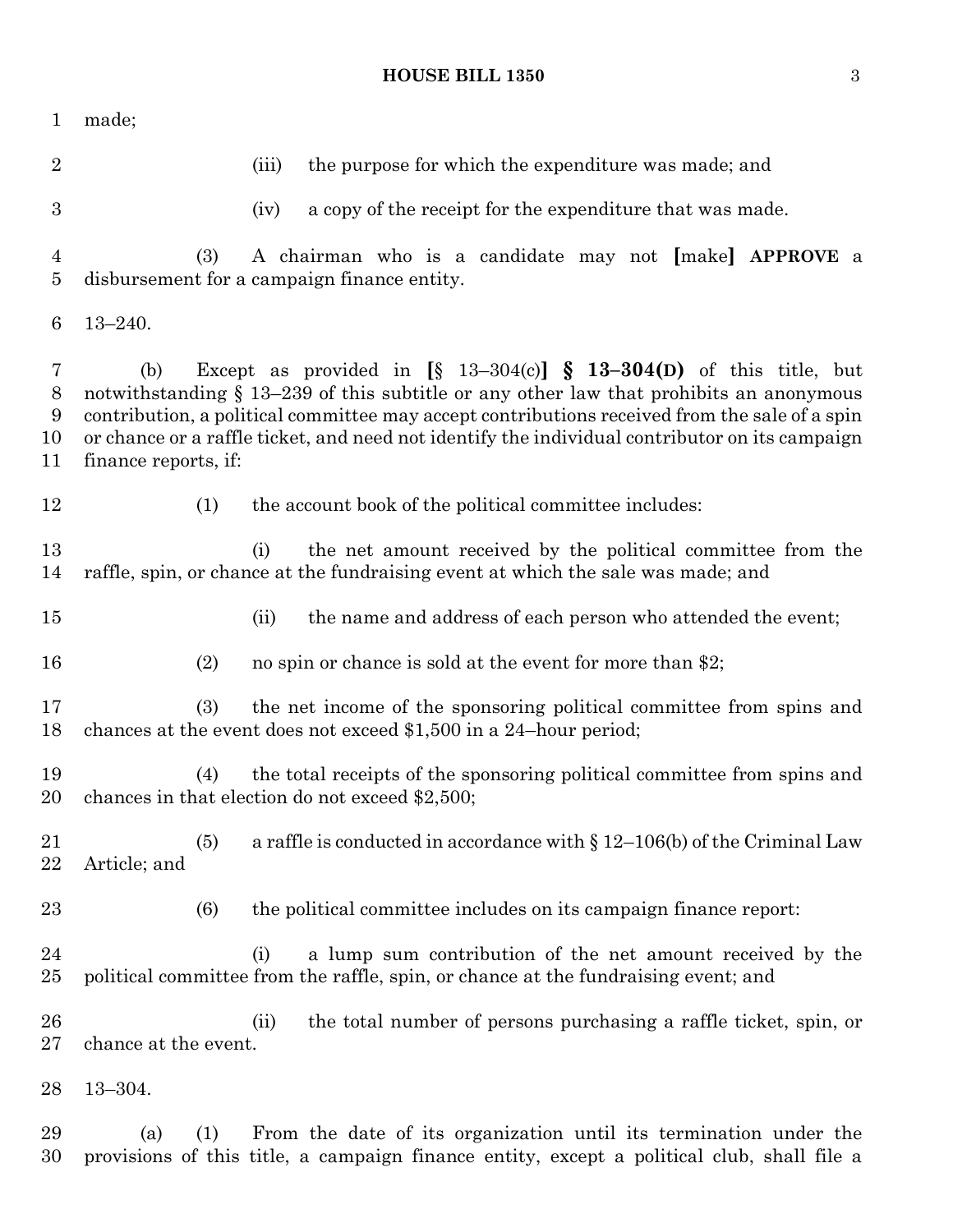## **HOUSE BILL 1350** 3

| 1                       | made;                                                                                                                                                                                                                                                                                                                                                                                                 |  |  |  |  |  |  |
|-------------------------|-------------------------------------------------------------------------------------------------------------------------------------------------------------------------------------------------------------------------------------------------------------------------------------------------------------------------------------------------------------------------------------------------------|--|--|--|--|--|--|
| $\overline{2}$          | the purpose for which the expenditure was made; and<br>(iii)                                                                                                                                                                                                                                                                                                                                          |  |  |  |  |  |  |
| $\boldsymbol{3}$        | a copy of the receipt for the expenditure that was made.<br>(iv)                                                                                                                                                                                                                                                                                                                                      |  |  |  |  |  |  |
| 4<br>$\overline{5}$     | A chairman who is a candidate may not [make] APPROVE a<br>(3)<br>disbursement for a campaign finance entity.                                                                                                                                                                                                                                                                                          |  |  |  |  |  |  |
| 6                       | $13 - 240.$                                                                                                                                                                                                                                                                                                                                                                                           |  |  |  |  |  |  |
| 7<br>8<br>9<br>10<br>11 | Except as provided in $[\S 13-304(c)] \S 13-304(D)$ of this title, but<br>(b)<br>notwithstanding $\S$ 13–239 of this subtitle or any other law that prohibits an anonymous<br>contribution, a political committee may accept contributions received from the sale of a spin<br>or chance or a raffle ticket, and need not identify the individual contributor on its campaign<br>finance reports, if: |  |  |  |  |  |  |
| 12                      | the account book of the political committee includes:<br>(1)                                                                                                                                                                                                                                                                                                                                          |  |  |  |  |  |  |
| 13<br>14                | the net amount received by the political committee from the<br>(i)<br>raffle, spin, or chance at the fundraising event at which the sale was made; and                                                                                                                                                                                                                                                |  |  |  |  |  |  |
| 15                      | the name and address of each person who attended the event;<br>(ii)                                                                                                                                                                                                                                                                                                                                   |  |  |  |  |  |  |
| 16                      | (2)<br>no spin or chance is sold at the event for more than \$2;                                                                                                                                                                                                                                                                                                                                      |  |  |  |  |  |  |
| 17<br>18                | the net income of the sponsoring political committee from spins and<br>(3)<br>chances at the event does not exceed $$1,500$ in a 24-hour period;                                                                                                                                                                                                                                                      |  |  |  |  |  |  |
| 19<br>20                | the total receipts of the sponsoring political committee from spins and<br>(4)<br>chances in that election do not exceed \$2,500;                                                                                                                                                                                                                                                                     |  |  |  |  |  |  |
| 21<br>22                | a raffle is conducted in accordance with $\S 12-106(b)$ of the Criminal Law<br>(5)<br>Article; and                                                                                                                                                                                                                                                                                                    |  |  |  |  |  |  |
| 23                      | (6)<br>the political committee includes on its campaign finance report:                                                                                                                                                                                                                                                                                                                               |  |  |  |  |  |  |
| 24<br>$25\,$            | a lump sum contribution of the net amount received by the<br>(i)<br>political committee from the raffle, spin, or chance at the fundraising event; and                                                                                                                                                                                                                                                |  |  |  |  |  |  |
| 26<br>$27\,$            | the total number of persons purchasing a raffle ticket, spin, or<br>(ii)<br>chance at the event.                                                                                                                                                                                                                                                                                                      |  |  |  |  |  |  |
| 28                      | $13 - 304.$                                                                                                                                                                                                                                                                                                                                                                                           |  |  |  |  |  |  |
| 29<br>30                | From the date of its organization until its termination under the<br>(a)<br>(1)<br>provisions of this title, a campaign finance entity, except a political club, shall file a                                                                                                                                                                                                                         |  |  |  |  |  |  |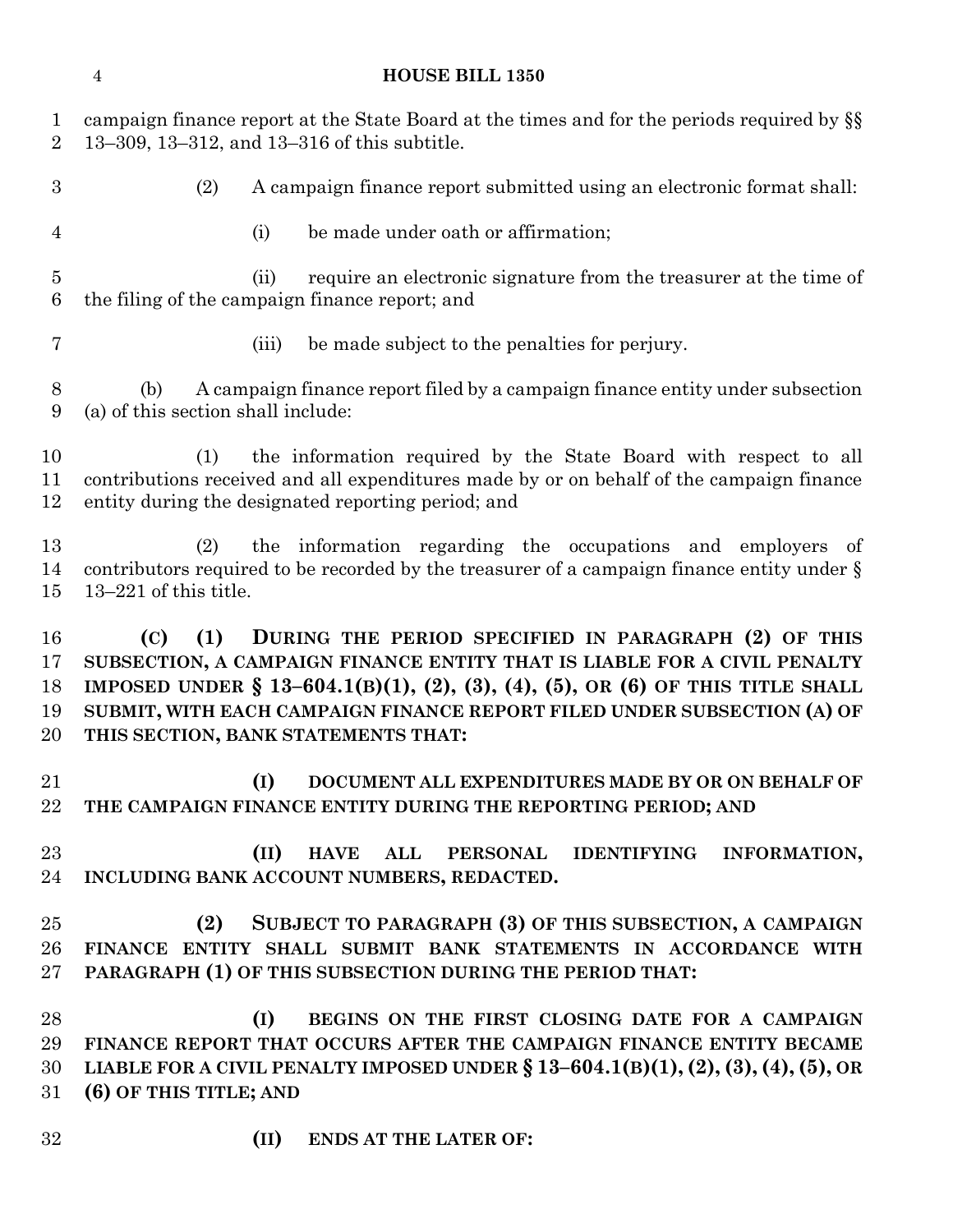## **HOUSE BILL 1350**

campaign finance report at the State Board at the times and for the periods required by §§

 13–309, 13–312, and 13–316 of this subtitle. (2) A campaign finance report submitted using an electronic format shall: (i) be made under oath or affirmation; (ii) require an electronic signature from the treasurer at the time of the filing of the campaign finance report; and (iii) be made subject to the penalties for perjury. (b) A campaign finance report filed by a campaign finance entity under subsection (a) of this section shall include: (1) the information required by the State Board with respect to all contributions received and all expenditures made by or on behalf of the campaign finance entity during the designated reporting period; and (2) the information regarding the occupations and employers of contributors required to be recorded by the treasurer of a campaign finance entity under § 13–221 of this title. **(C) (1) DURING THE PERIOD SPECIFIED IN PARAGRAPH (2) OF THIS SUBSECTION, A CAMPAIGN FINANCE ENTITY THAT IS LIABLE FOR A CIVIL PENALTY IMPOSED UNDER § 13–604.1(B)(1), (2), (3), (4), (5), OR (6) OF THIS TITLE SHALL SUBMIT, WITH EACH CAMPAIGN FINANCE REPORT FILED UNDER SUBSECTION (A) OF THIS SECTION, BANK STATEMENTS THAT: (I) DOCUMENT ALL EXPENDITURES MADE BY OR ON BEHALF OF THE CAMPAIGN FINANCE ENTITY DURING THE REPORTING PERIOD; AND (II) HAVE ALL PERSONAL IDENTIFYING INFORMATION, INCLUDING BANK ACCOUNT NUMBERS, REDACTED. (2) SUBJECT TO PARAGRAPH (3) OF THIS SUBSECTION, A CAMPAIGN FINANCE ENTITY SHALL SUBMIT BANK STATEMENTS IN ACCORDANCE WITH PARAGRAPH (1) OF THIS SUBSECTION DURING THE PERIOD THAT: (I) BEGINS ON THE FIRST CLOSING DATE FOR A CAMPAIGN FINANCE REPORT THAT OCCURS AFTER THE CAMPAIGN FINANCE ENTITY BECAME LIABLE FOR A CIVIL PENALTY IMPOSED UNDER § 13–604.1(B)(1), (2), (3), (4), (5), OR (6) OF THIS TITLE; AND (II) ENDS AT THE LATER OF:**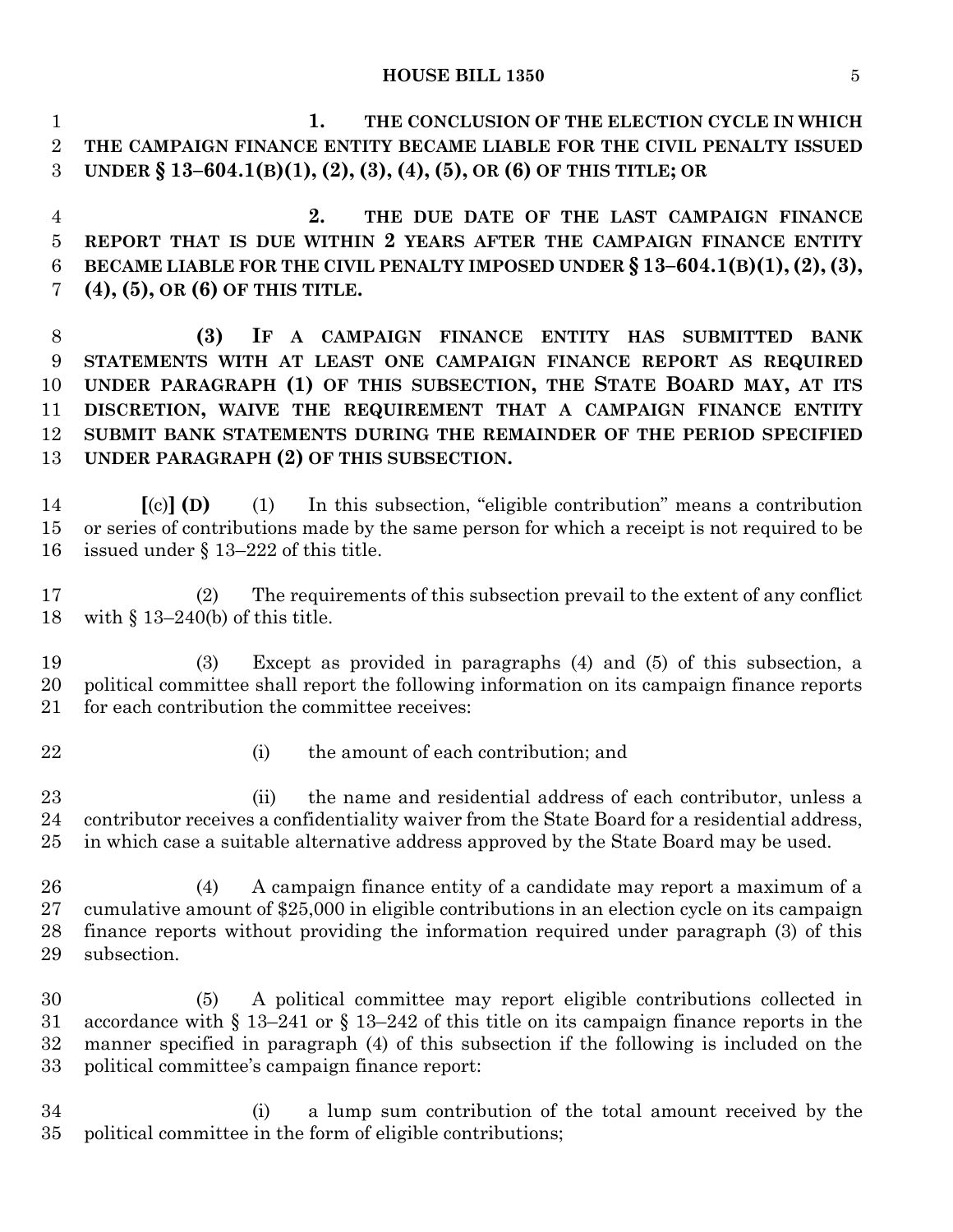**1. THE CONCLUSION OF THE ELECTION CYCLE IN WHICH THE CAMPAIGN FINANCE ENTITY BECAME LIABLE FOR THE CIVIL PENALTY ISSUED UNDER § 13–604.1(B)(1), (2), (3), (4), (5), OR (6) OF THIS TITLE; OR**

 **2. THE DUE DATE OF THE LAST CAMPAIGN FINANCE REPORT THAT IS DUE WITHIN 2 YEARS AFTER THE CAMPAIGN FINANCE ENTITY BECAME LIABLE FOR THE CIVIL PENALTY IMPOSED UNDER § 13–604.1(B)(1),(2),(3), (4), (5), OR (6) OF THIS TITLE.**

 **(3) IF A CAMPAIGN FINANCE ENTITY HAS SUBMITTED BANK STATEMENTS WITH AT LEAST ONE CAMPAIGN FINANCE REPORT AS REQUIRED UNDER PARAGRAPH (1) OF THIS SUBSECTION, THE STATE BOARD MAY, AT ITS DISCRETION, WAIVE THE REQUIREMENT THAT A CAMPAIGN FINANCE ENTITY SUBMIT BANK STATEMENTS DURING THE REMAINDER OF THE PERIOD SPECIFIED UNDER PARAGRAPH (2) OF THIS SUBSECTION.**

 **[**(c)**] (D)** (1) In this subsection, "eligible contribution" means a contribution or series of contributions made by the same person for which a receipt is not required to be issued under § 13–222 of this title.

 (2) The requirements of this subsection prevail to the extent of any conflict with § 13–240(b) of this title.

 (3) Except as provided in paragraphs (4) and (5) of this subsection, a political committee shall report the following information on its campaign finance reports for each contribution the committee receives:

- 
- 22 (i) the amount of each contribution; and

 (ii) the name and residential address of each contributor, unless a contributor receives a confidentiality waiver from the State Board for a residential address, in which case a suitable alternative address approved by the State Board may be used.

 (4) A campaign finance entity of a candidate may report a maximum of a cumulative amount of \$25,000 in eligible contributions in an election cycle on its campaign finance reports without providing the information required under paragraph (3) of this subsection.

 (5) A political committee may report eligible contributions collected in accordance with § 13–241 or § 13–242 of this title on its campaign finance reports in the manner specified in paragraph (4) of this subsection if the following is included on the political committee's campaign finance report:

 (i) a lump sum contribution of the total amount received by the political committee in the form of eligible contributions;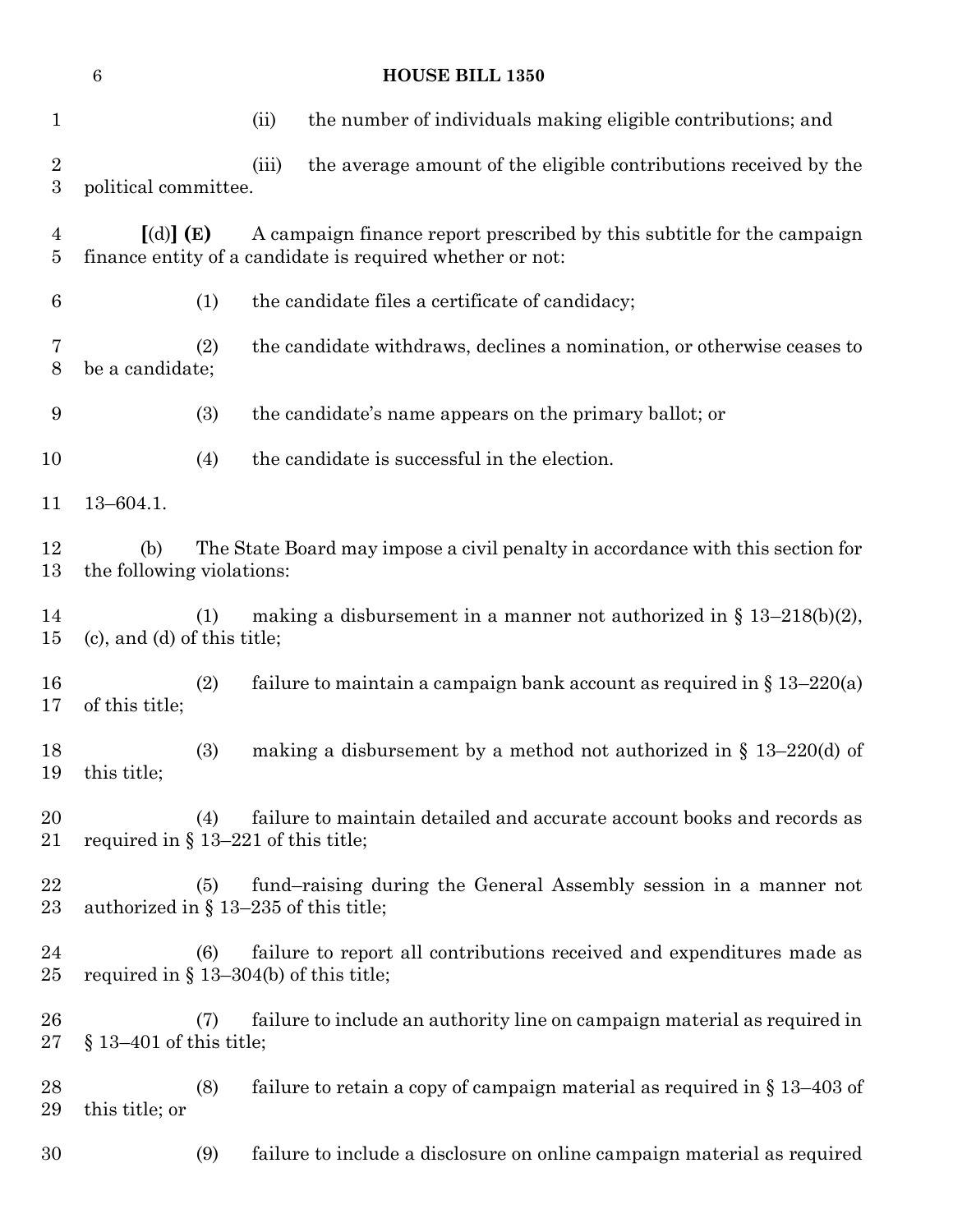|                                    | $\,6\,$<br><b>HOUSE BILL 1350</b>                                                                                  |                                                                                                                                     |                                                                             |  |  |  |  |
|------------------------------------|--------------------------------------------------------------------------------------------------------------------|-------------------------------------------------------------------------------------------------------------------------------------|-----------------------------------------------------------------------------|--|--|--|--|
| $\mathbf 1$                        |                                                                                                                    | (ii)                                                                                                                                | the number of individuals making eligible contributions; and                |  |  |  |  |
| $\overline{2}$<br>$\boldsymbol{3}$ | political committee.                                                                                               | (iii)                                                                                                                               | the average amount of the eligible contributions received by the            |  |  |  |  |
| $\overline{4}$<br>5                | $\left[$ (d) $\right]$ (E)                                                                                         | A campaign finance report prescribed by this subtitle for the campaign<br>finance entity of a candidate is required whether or not: |                                                                             |  |  |  |  |
| $\,6$                              | (1)                                                                                                                |                                                                                                                                     | the candidate files a certificate of candidacy;                             |  |  |  |  |
| 7<br>$8\,$                         | (2)<br>be a candidate;                                                                                             |                                                                                                                                     | the candidate withdraws, declines a nomination, or otherwise ceases to      |  |  |  |  |
| 9                                  | (3)                                                                                                                |                                                                                                                                     | the candidate's name appears on the primary ballot; or                      |  |  |  |  |
| 10                                 | (4)                                                                                                                |                                                                                                                                     | the candidate is successful in the election.                                |  |  |  |  |
| 11                                 | $13 - 604.1.$                                                                                                      |                                                                                                                                     |                                                                             |  |  |  |  |
| 12<br>13                           | The State Board may impose a civil penalty in accordance with this section for<br>(b)<br>the following violations: |                                                                                                                                     |                                                                             |  |  |  |  |
| 14<br>15                           | making a disbursement in a manner not authorized in $\S 13-218(b)(2)$ ,<br>(1)<br>$(c)$ , and $(d)$ of this title; |                                                                                                                                     |                                                                             |  |  |  |  |
| 16<br>17                           | (2)<br>of this title;                                                                                              |                                                                                                                                     | failure to maintain a campaign bank account as required in $\S 13-220(a)$   |  |  |  |  |
| 18<br>19                           | (3)<br>this title;                                                                                                 |                                                                                                                                     | making a disbursement by a method not authorized in $\S$ 13–220(d) of       |  |  |  |  |
| 20<br>21                           | (4)<br>required in $\S$ 13–221 of this title;                                                                      |                                                                                                                                     | failure to maintain detailed and accurate account books and records as      |  |  |  |  |
| 22<br>$23\,$                       | (5)<br>authorized in § 13-235 of this title;                                                                       |                                                                                                                                     | fund-raising during the General Assembly session in a manner not            |  |  |  |  |
| 24<br>$25\,$                       | (6)<br>required in $\S$ 13–304(b) of this title;                                                                   |                                                                                                                                     | failure to report all contributions received and expenditures made as       |  |  |  |  |
| 26<br>$27\,$                       | (7)<br>$§$ 13–401 of this title;                                                                                   |                                                                                                                                     | failure to include an authority line on campaign material as required in    |  |  |  |  |
| 28<br>29                           | (8)<br>this title; or                                                                                              |                                                                                                                                     | failure to retain a copy of campaign material as required in $\S 13-403$ of |  |  |  |  |
| 30                                 | (9)                                                                                                                |                                                                                                                                     | failure to include a disclosure on online campaign material as required     |  |  |  |  |